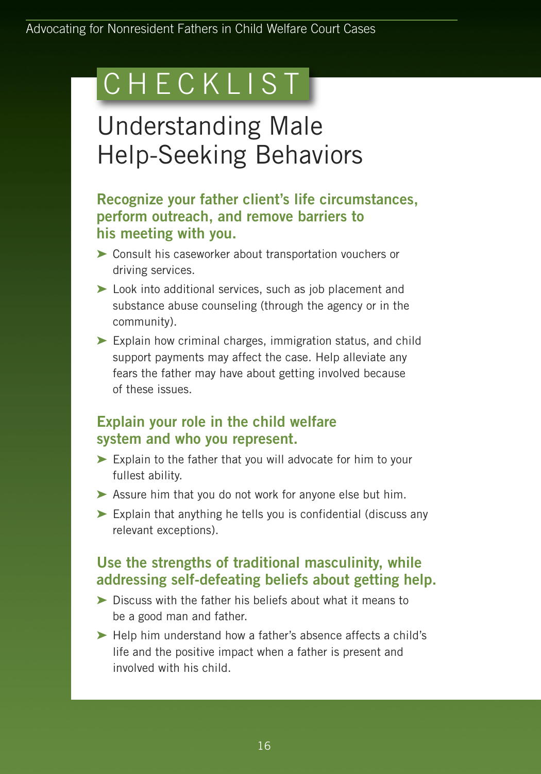# C H E C K L I S T

## Understanding Male Help-Seeking Behaviors

#### **Recognize your father client's life circumstances, perform outreach, and remove barriers to his meeting with you.**

- **➤** Consult his caseworker about transportation vouchers or driving services.
- **➤** Look into additional services, such as job placement and substance abuse counseling (through the agency or in the community).
- **➤** Explain how criminal charges, immigration status, and child support payments may affect the case. Help alleviate any fears the father may have about getting involved because of these issues.

### **Explain your role in the child welfare system and who you represent.**

- **➤** Explain to the father that you will advocate for him to your fullest ability.
- **➤** Assure him that you do not work for anyone else but him.
- **➤** Explain that anything he tells you is confidential (discuss any relevant exceptions).

#### **Use the strengths of traditional masculinity, while addressing self-defeating beliefs about getting help.**

- **➤** Discuss with the father his beliefs about what it means to be a good man and father.
- **➤** Help him understand how a father's absence affects a child's life and the positive impact when a father is present and involved with his child.